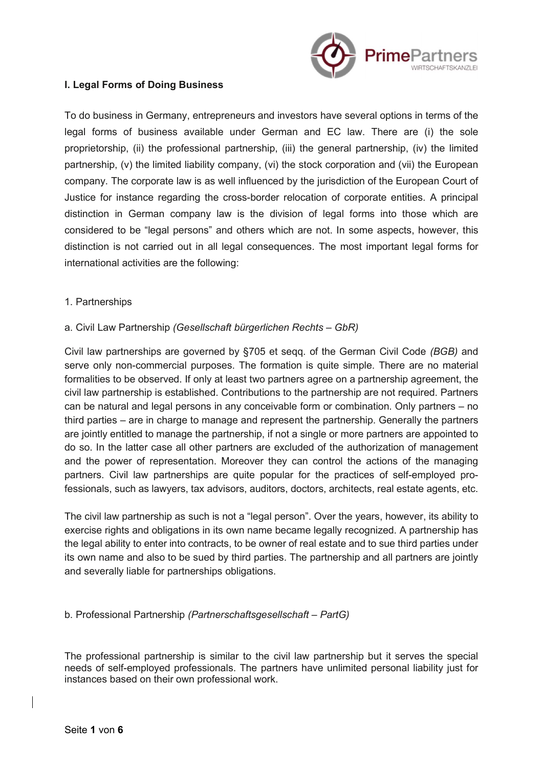

## I. Legal Forms of Doing Business

To do business in Germany, entrepreneurs and investors have several options in terms of the legal forms of business available under German and EC law. There are (i) the sole proprietorship, (ii) the professional partnership, (iii) the general partnership, (iv) the limited partnership, (v) the limited liability company, (vi) the stock corporation and (vii) the European company. The corporate law is as well influenced by the jurisdiction of the European Court of Justice for instance regarding the cross-border relocation of corporate entities. A principal distinction in German company law is the division of legal forms into those which are considered to be "legal persons" and others which are not. In some aspects, however, this distinction is not carried out in all legal consequences. The most important legal forms for international activities are the following:

1. Partnerships

## a. Civil Law Partnership (Gesellschaft bürgerlichen Rechts – GbR)

Civil law partnerships are governed by §705 et seqq. of the German Civil Code (BGB) and serve only non-commercial purposes. The formation is quite simple. There are no material formalities to be observed. If only at least two partners agree on a partnership agreement, the civil law partnership is established. Contributions to the partnership are not required. Partners can be natural and legal persons in any conceivable form or combination. Only partners – no third parties – are in charge to manage and represent the partnership. Generally the partners are jointly entitled to manage the partnership, if not a single or more partners are appointed to do so. In the latter case all other partners are excluded of the authorization of management and the power of representation. Moreover they can control the actions of the managing partners. Civil law partnerships are quite popular for the practices of self-employed professionals, such as lawyers, tax advisors, auditors, doctors, architects, real estate agents, etc.

The civil law partnership as such is not a "legal person". Over the years, however, its ability to exercise rights and obligations in its own name became legally recognized. A partnership has the legal ability to enter into contracts, to be owner of real estate and to sue third parties under its own name and also to be sued by third parties. The partnership and all partners are jointly and severally liable for partnerships obligations.

#### b. Professional Partnership (Partnerschaftsgesellschaft – PartG)

The professional partnership is similar to the civil law partnership but it serves the special needs of self-employed professionals. The partners have unlimited personal liability just for instances based on their own professional work.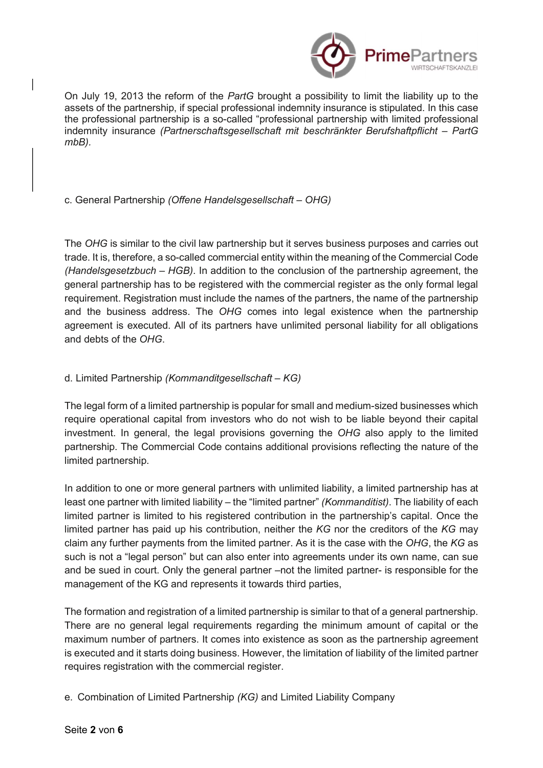

On July 19, 2013 the reform of the PartG brought a possibility to limit the liability up to the assets of the partnership, if special professional indemnity insurance is stipulated. In this case the professional partnership is a so-called "professional partnership with limited professional indemnity insurance (Partnerschaftsgesellschaft mit beschränkter Berufshaftpflicht – PartG mbB).

c. General Partnership (Offene Handelsgesellschaft – OHG)

The OHG is similar to the civil law partnership but it serves business purposes and carries out trade. It is, therefore, a so-called commercial entity within the meaning of the Commercial Code (Handelsgesetzbuch – HGB). In addition to the conclusion of the partnership agreement, the general partnership has to be registered with the commercial register as the only formal legal requirement. Registration must include the names of the partners, the name of the partnership and the business address. The OHG comes into legal existence when the partnership agreement is executed. All of its partners have unlimited personal liability for all obligations and debts of the OHG.

## d. Limited Partnership (Kommanditgesellschaft – KG)

The legal form of a limited partnership is popular for small and medium-sized businesses which require operational capital from investors who do not wish to be liable beyond their capital investment. In general, the legal provisions governing the OHG also apply to the limited partnership. The Commercial Code contains additional provisions reflecting the nature of the limited partnership.

In addition to one or more general partners with unlimited liability, a limited partnership has at least one partner with limited liability – the "limited partner" (Kommanditist). The liability of each limited partner is limited to his registered contribution in the partnership's capital. Once the limited partner has paid up his contribution, neither the KG nor the creditors of the KG may claim any further payments from the limited partner. As it is the case with the OHG, the KG as such is not a "legal person" but can also enter into agreements under its own name, can sue and be sued in court. Only the general partner –not the limited partner- is responsible for the management of the KG and represents it towards third parties,

The formation and registration of a limited partnership is similar to that of a general partnership. There are no general legal requirements regarding the minimum amount of capital or the maximum number of partners. It comes into existence as soon as the partnership agreement is executed and it starts doing business. However, the limitation of liability of the limited partner requires registration with the commercial register.

e. Combination of Limited Partnership (KG) and Limited Liability Company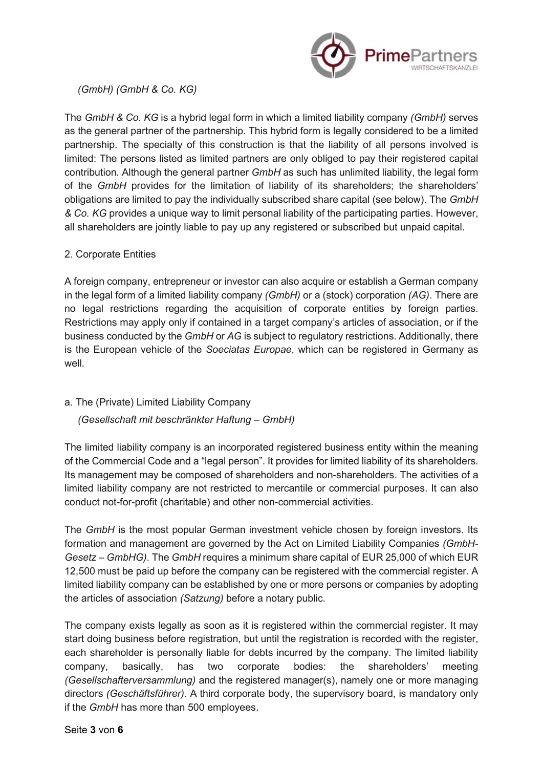

(GmbH) (GmbH & Co. KG)

The GmbH & Co. KG is a hybrid legal form in which a limited liability company (GmbH) serves as the general partner of the partnership. This hybrid form is legally considered to be a limited partnership. The specialty of this construction is that the liability of all persons involved is limited: The persons listed as limited partners are only obliged to pay their registered capital contribution. Although the general partner GmbH as such has unlimited liability, the legal form of the GmbH provides for the limitation of liability of its shareholders; the shareholders' obligations are limited to pay the individually subscribed share capital (see below). The GmbH & Co. KG provides a unique way to limit personal liability of the participating parties. However, all shareholders are jointly liable to pay up any registered or subscribed but unpaid capital.

# 2. Corporate Entities

A foreign company, entrepreneur or investor can also acquire or establish a German company in the legal form of a limited liability company (GmbH) or a (stock) corporation (AG). There are no legal restrictions regarding the acquisition of corporate entities by foreign parties. Restrictions may apply only if contained in a target company's articles of association, or if the business conducted by the GmbH or AG is subject to regulatory restrictions. Additionally, there is the European vehicle of the Soeciatas Europae, which can be registered in Germany as well.

# a. The (Private) Limited Liability Company

# (Gesellschaft mit beschränkter Haftung – GmbH)

The limited liability company is an incorporated registered business entity within the meaning of the Commercial Code and a "legal person". It provides for limited liability of its shareholders. Its management may be composed of shareholders and non-shareholders. The activities of a limited liability company are not restricted to mercantile or commercial purposes. It can also conduct not-for-profit (charitable) and other non-commercial activities.

The GmbH is the most popular German investment vehicle chosen by foreign investors. Its formation and management are governed by the Act on Limited Liability Companies (GmbH-Gesetz – GmbHG). The GmbH requires a minimum share capital of EUR 25,000 of which EUR 12,500 must be paid up before the company can be registered with the commercial register. A limited liability company can be established by one or more persons or companies by adopting the articles of association (Satzung) before a notary public.

The company exists legally as soon as it is registered within the commercial register. It may start doing business before registration, but until the registration is recorded with the register, each shareholder is personally liable for debts incurred by the company. The limited liability company, basically, has two corporate bodies: the shareholders' meeting (Gesellschafterversammlung) and the registered manager(s), namely one or more managing directors (Geschäftsführer). A third corporate body, the supervisory board, is mandatory only if the GmbH has more than 500 employees.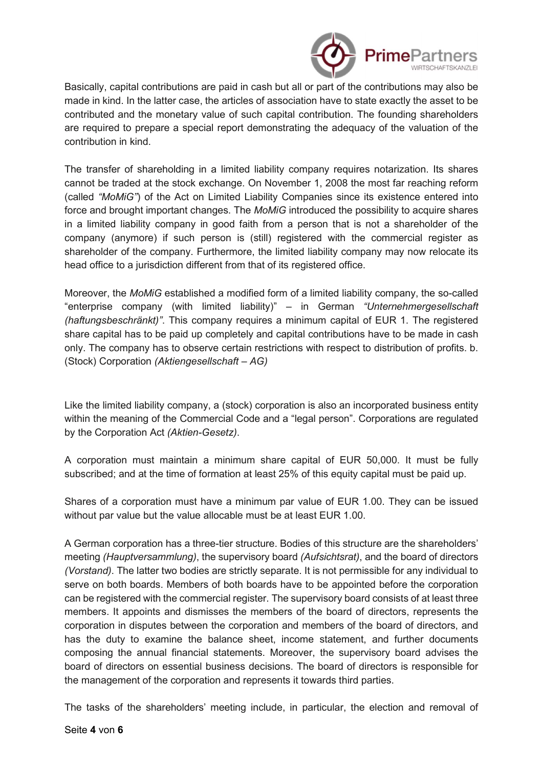

Basically, capital contributions are paid in cash but all or part of the contributions may also be made in kind. In the latter case, the articles of association have to state exactly the asset to be contributed and the monetary value of such capital contribution. The founding shareholders are required to prepare a special report demonstrating the adequacy of the valuation of the contribution in kind.

The transfer of shareholding in a limited liability company requires notarization. Its shares cannot be traded at the stock exchange. On November 1, 2008 the most far reaching reform (called "MoMiG") of the Act on Limited Liability Companies since its existence entered into force and brought important changes. The MoMiG introduced the possibility to acquire shares in a limited liability company in good faith from a person that is not a shareholder of the company (anymore) if such person is (still) registered with the commercial register as shareholder of the company. Furthermore, the limited liability company may now relocate its head office to a jurisdiction different from that of its registered office.

Moreover, the MoMiG established a modified form of a limited liability company, the so-called "enterprise company (with limited liability)" – in German "Unternehmergesellschaft (haftungsbeschränkt)". This company requires a minimum capital of EUR 1. The registered share capital has to be paid up completely and capital contributions have to be made in cash only. The company has to observe certain restrictions with respect to distribution of profits. b. (Stock) Corporation (Aktiengesellschaft – AG)

Like the limited liability company, a (stock) corporation is also an incorporated business entity within the meaning of the Commercial Code and a "legal person". Corporations are regulated by the Corporation Act (Aktien-Gesetz).

A corporation must maintain a minimum share capital of EUR 50,000. It must be fully subscribed; and at the time of formation at least 25% of this equity capital must be paid up.

Shares of a corporation must have a minimum par value of EUR 1.00. They can be issued without par value but the value allocable must be at least EUR 1.00.

A German corporation has a three-tier structure. Bodies of this structure are the shareholders' meeting (Hauptversammlung), the supervisory board (Aufsichtsrat), and the board of directors (Vorstand). The latter two bodies are strictly separate. It is not permissible for any individual to serve on both boards. Members of both boards have to be appointed before the corporation can be registered with the commercial register. The supervisory board consists of at least three members. It appoints and dismisses the members of the board of directors, represents the corporation in disputes between the corporation and members of the board of directors, and has the duty to examine the balance sheet, income statement, and further documents composing the annual financial statements. Moreover, the supervisory board advises the board of directors on essential business decisions. The board of directors is responsible for the management of the corporation and represents it towards third parties.

The tasks of the shareholders' meeting include, in particular, the election and removal of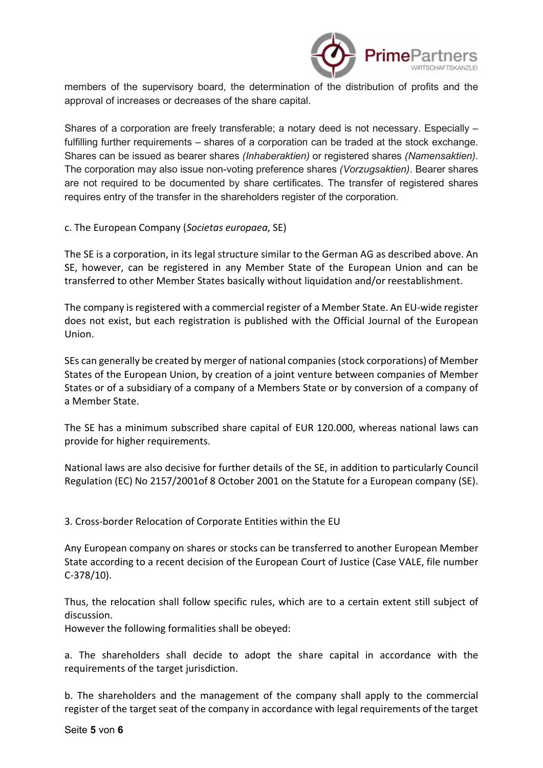

members of the supervisory board, the determination of the distribution of profits and the approval of increases or decreases of the share capital.

Shares of a corporation are freely transferable; a notary deed is not necessary. Especially – fulfilling further requirements – shares of a corporation can be traded at the stock exchange. Shares can be issued as bearer shares (Inhaberaktien) or registered shares (Namensaktien). The corporation may also issue non-voting preference shares (Vorzugsaktien). Bearer shares are not required to be documented by share certificates. The transfer of registered shares requires entry of the transfer in the shareholders register of the corporation.

c. The European Company (Societas europaea, SE)

The SE is a corporation, in its legal structure similar to the German AG as described above. An SE, however, can be registered in any Member State of the European Union and can be transferred to other Member States basically without liquidation and/or reestablishment.

The company is registered with a commercial register of a Member State. An EU-wide register does not exist, but each registration is published with the Official Journal of the European Union.

SEs can generally be created by merger of national companies (stock corporations) of Member States of the European Union, by creation of a joint venture between companies of Member States or of a subsidiary of a company of a Members State or by conversion of a company of a Member State.

The SE has a minimum subscribed share capital of EUR 120.000, whereas national laws can provide for higher requirements.

National laws are also decisive for further details of the SE, in addition to particularly Council Regulation (EC) No 2157/2001of 8 October 2001 on the Statute for a European company (SE).

3. Cross-border Relocation of Corporate Entities within the EU

Any European company on shares or stocks can be transferred to another European Member State according to a recent decision of the European Court of Justice (Case VALE, file number C-378/10).

Thus, the relocation shall follow specific rules, which are to a certain extent still subject of discussion.

However the following formalities shall be obeyed:

a. The shareholders shall decide to adopt the share capital in accordance with the requirements of the target jurisdiction.

b. The shareholders and the management of the company shall apply to the commercial register of the target seat of the company in accordance with legal requirements of the target